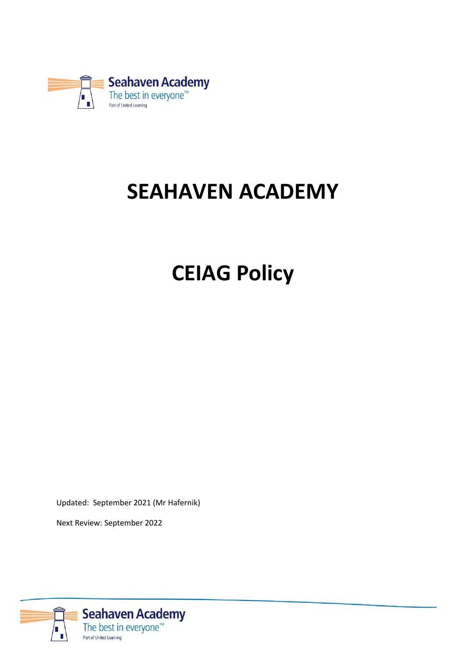

## **SEAHAVEN ACADEMY**

# **CEIAG Policy**

Updated: September 2021 (Mr Hafernik)

Next Review: September 2022

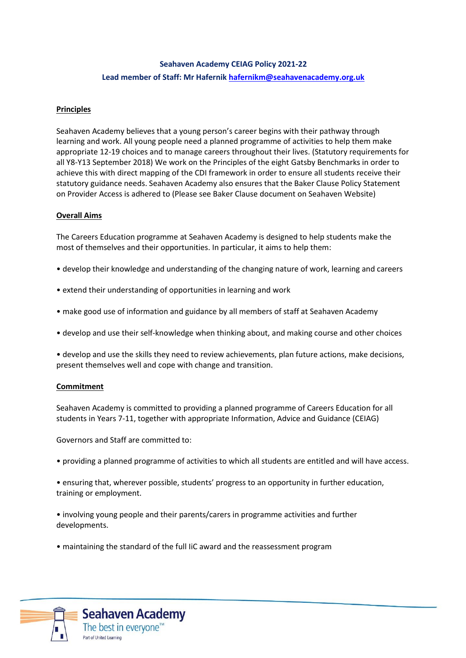### **Seahaven Academy CEIAG Policy 2021-22 Lead member of Staff: Mr Hafernik [hafernikm@seahavenacademy.org.uk](mailto:hafernikm@seahavenacademy.org.uk)**

#### **Principles**

Seahaven Academy believes that a young person's career begins with their pathway through learning and work. All young people need a planned programme of activities to help them make appropriate 12-19 choices and to manage careers throughout their lives. (Statutory requirements for all Y8-Y13 September 2018) We work on the Principles of the eight Gatsby Benchmarks in order to achieve this with direct mapping of the CDI framework in order to ensure all students receive their statutory guidance needs. Seahaven Academy also ensures that the Baker Clause Policy Statement on Provider Access is adhered to (Please see Baker Clause document on Seahaven Website)

#### **Overall Aims**

The Careers Education programme at Seahaven Academy is designed to help students make the most of themselves and their opportunities. In particular, it aims to help them:

- develop their knowledge and understanding of the changing nature of work, learning and careers
- extend their understanding of opportunities in learning and work
- make good use of information and guidance by all members of staff at Seahaven Academy
- develop and use their self-knowledge when thinking about, and making course and other choices

• develop and use the skills they need to review achievements, plan future actions, make decisions, present themselves well and cope with change and transition.

#### **Commitment**

Seahaven Academy is committed to providing a planned programme of Careers Education for all students in Years 7-11, together with appropriate Information, Advice and Guidance (CEIAG)

Governors and Staff are committed to:

- providing a planned programme of activities to which all students are entitled and will have access.
- ensuring that, wherever possible, students' progress to an opportunity in further education, training or employment.
- involving young people and their parents/carers in programme activities and further developments.
- maintaining the standard of the full IiC award and the reassessment program

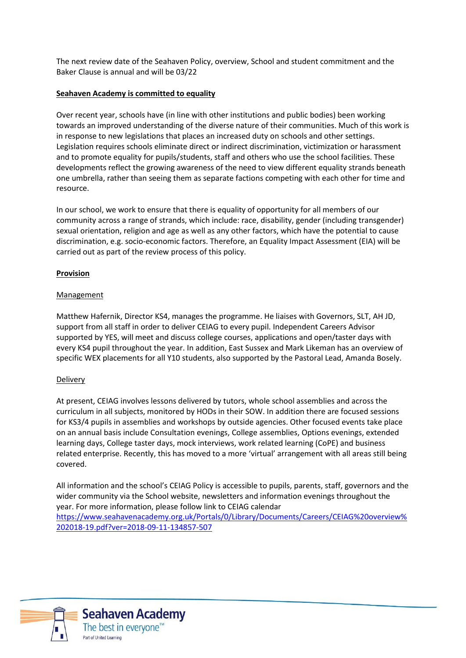The next review date of the Seahaven Policy, overview, School and student commitment and the Baker Clause is annual and will be 03/22

#### **Seahaven Academy is committed to equality**

Over recent year, schools have (in line with other institutions and public bodies) been working towards an improved understanding of the diverse nature of their communities. Much of this work is in response to new legislations that places an increased duty on schools and other settings. Legislation requires schools eliminate direct or indirect discrimination, victimization or harassment and to promote equality for pupils/students, staff and others who use the school facilities. These developments reflect the growing awareness of the need to view different equality strands beneath one umbrella, rather than seeing them as separate factions competing with each other for time and resource.

In our school, we work to ensure that there is equality of opportunity for all members of our community across a range of strands, which include: race, disability, gender (including transgender) sexual orientation, religion and age as well as any other factors, which have the potential to cause discrimination, e.g. socio-economic factors. Therefore, an Equality Impact Assessment (EIA) will be carried out as part of the review process of this policy.

#### **Provision**

#### Management

Matthew Hafernik, Director KS4, manages the programme. He liaises with Governors, SLT, AH JD, support from all staff in order to deliver CEIAG to every pupil. Independent Careers Advisor supported by YES, will meet and discuss college courses, applications and open/taster days with every KS4 pupil throughout the year. In addition, East Sussex and Mark Likeman has an overview of specific WEX placements for all Y10 students, also supported by the Pastoral Lead, Amanda Bosely.

#### **Delivery**

At present, CEIAG involves lessons delivered by tutors, whole school assemblies and across the curriculum in all subjects, monitored by HODs in their SOW. In addition there are focused sessions for KS3/4 pupils in assemblies and workshops by outside agencies. Other focused events take place on an annual basis include Consultation evenings, College assemblies, Options evenings, extended learning days, College taster days, mock interviews, work related learning (CoPE) and business related enterprise. Recently, this has moved to a more 'virtual' arrangement with all areas still being covered.

All information and the school's CEIAG Policy is accessible to pupils, parents, staff, governors and the wider community via the School website, newsletters and information evenings throughout the year. For more information, please follow link to CEIAG calendar [https://www.seahavenacademy.org.uk/Portals/0/Library/Documents/Careers/CEIAG%20overview%](https://www.seahavenacademy.org.uk/Portals/0/Library/Documents/Careers/CEIAG%20overview%202018-19.pdf?ver=2018-09-11-134857-507) [202018-19.pdf?ver=2018-09-11-134857-507](https://www.seahavenacademy.org.uk/Portals/0/Library/Documents/Careers/CEIAG%20overview%202018-19.pdf?ver=2018-09-11-134857-507)

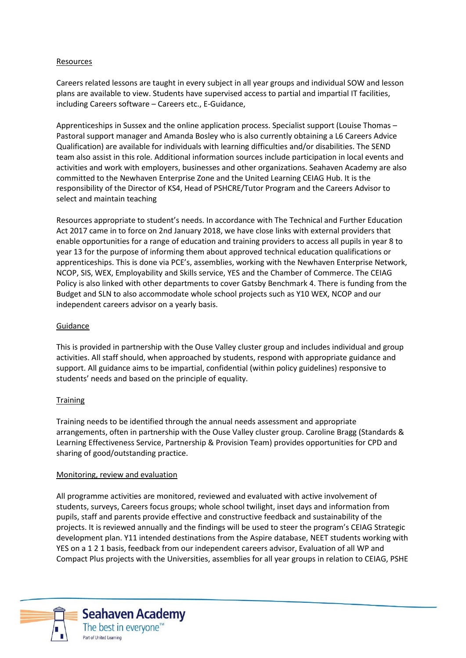#### Resources

Careers related lessons are taught in every subject in all year groups and individual SOW and lesson plans are available to view. Students have supervised access to partial and impartial IT facilities, including Careers software – Careers etc., E-Guidance,

Apprenticeships in Sussex and the online application process. Specialist support (Louise Thomas – Pastoral support manager and Amanda Bosley who is also currently obtaining a L6 Careers Advice Qualification) are available for individuals with learning difficulties and/or disabilities. The SEND team also assist in this role. Additional information sources include participation in local events and activities and work with employers, businesses and other organizations. Seahaven Academy are also committed to the Newhaven Enterprise Zone and the United Learning CEIAG Hub. It is the responsibility of the Director of KS4, Head of PSHCRE/Tutor Program and the Careers Advisor to select and maintain teaching

Resources appropriate to student's needs. In accordance with The Technical and Further Education Act 2017 came in to force on 2nd January 2018, we have close links with external providers that enable opportunities for a range of education and training providers to access all pupils in year 8 to year 13 for the purpose of informing them about approved technical education qualifications or apprenticeships. This is done via PCE's, assemblies, working with the Newhaven Enterprise Network, NCOP, SIS, WEX, Employability and Skills service, YES and the Chamber of Commerce. The CEIAG Policy is also linked with other departments to cover Gatsby Benchmark 4. There is funding from the Budget and SLN to also accommodate whole school projects such as Y10 WEX, NCOP and our independent careers advisor on a yearly basis.

#### Guidance

This is provided in partnership with the Ouse Valley cluster group and includes individual and group activities. All staff should, when approached by students, respond with appropriate guidance and support. All guidance aims to be impartial, confidential (within policy guidelines) responsive to students' needs and based on the principle of equality.

#### **Training**

Training needs to be identified through the annual needs assessment and appropriate arrangements, often in partnership with the Ouse Valley cluster group. Caroline Bragg (Standards & Learning Effectiveness Service, Partnership & Provision Team) provides opportunities for CPD and sharing of good/outstanding practice.

#### Monitoring, review and evaluation

All programme activities are monitored, reviewed and evaluated with active involvement of students, surveys, Careers focus groups; whole school twilight, inset days and information from pupils, staff and parents provide effective and constructive feedback and sustainability of the projects. It is reviewed annually and the findings will be used to steer the program's CEIAG Strategic development plan. Y11 intended destinations from the Aspire database, NEET students working with YES on a 1 2 1 basis, feedback from our independent careers advisor, Evaluation of all WP and Compact Plus projects with the Universities, assemblies for all year groups in relation to CEIAG, PSHE



**Seahaven Academy** The best in everyone<sup>™</sup> Part of United Learning